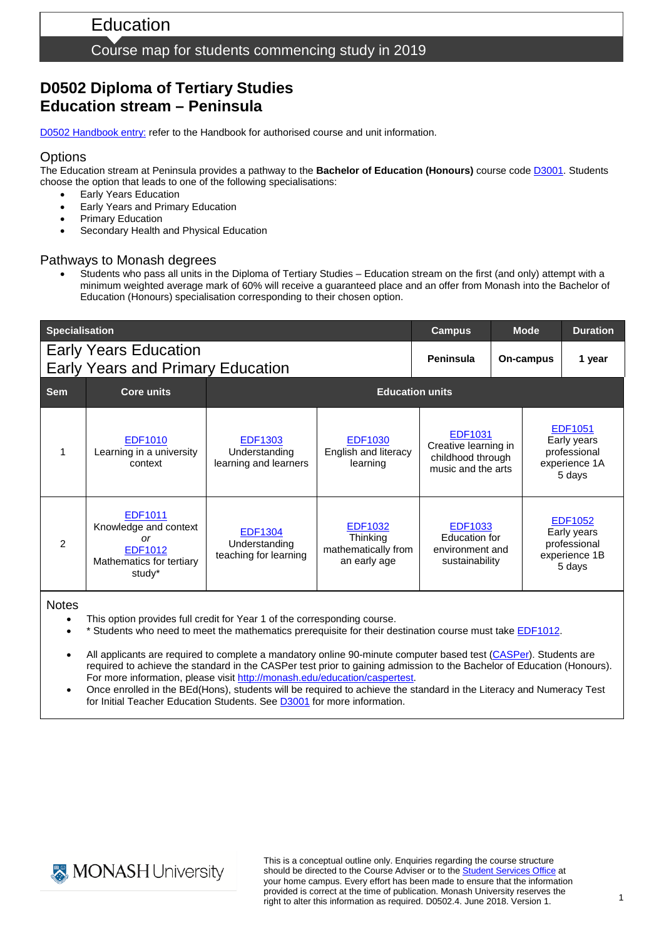#### Course map for students commencing study in 2019

# **D0502 Diploma of Tertiary Studies Education stream – Peninsula**

D0502 [Handbook entry:](http://www.monash.edu.au/pubs/2019handbooks/courses/D0502.html) refer to the Handbook for authorised course and unit information.

#### **Options**

The Education stream at Peninsula provides a pathway to the **Bachelor of Education (Honours)** course cod[e D3001.](http://www.monash.edu.au/pubs/2019handbooks/courses/D3001.html) Students choose the option that leads to one of the following specialisations:

- **Early Years Education**
- Early Years and Primary Education
- **Primary Education**
- Secondary Health and Physical Education

#### Pathways to Monash degrees

• Students who pass all units in the Diploma of Tertiary Studies – Education stream on the first (and only) attempt with a minimum weighted average mark of 60% will receive a guaranteed place and an offer from Monash into the Bachelor of Education (Honours) specialisation corresponding to their chosen option.

| <b>Specialisation</b>                                                    |                                                                                         | <b>Campus</b>                                            | <b>Mode</b>                                                       |                                                                            | <b>Duration</b> |                                                                   |        |  |
|--------------------------------------------------------------------------|-----------------------------------------------------------------------------------------|----------------------------------------------------------|-------------------------------------------------------------------|----------------------------------------------------------------------------|-----------------|-------------------------------------------------------------------|--------|--|
| <b>Early Years Education</b><br><b>Early Years and Primary Education</b> |                                                                                         |                                                          |                                                                   | Peninsula                                                                  | On-campus       |                                                                   | 1 year |  |
| <b>Sem</b>                                                               | <b>Core units</b>                                                                       | <b>Education units</b>                                   |                                                                   |                                                                            |                 |                                                                   |        |  |
|                                                                          | EDF1010<br>Learning in a university<br>context                                          | <b>EDF1303</b><br>Understanding<br>learning and learners | <b>EDF1030</b><br>English and literacy<br>learning                | EDF1031<br>Creative learning in<br>childhood through<br>music and the arts |                 | EDF1051<br>Early years<br>professional<br>experience 1A<br>5 days |        |  |
| 2                                                                        | EDF1011<br>Knowledge and context<br>or<br>EDF1012<br>Mathematics for tertiary<br>study* | <b>EDF1304</b><br>Understanding<br>teaching for learning | <b>EDF1032</b><br>Thinking<br>mathematically from<br>an early age | <b>EDF1033</b><br>Education for<br>environment and<br>sustainability       |                 | EDF1052<br>Early years<br>professional<br>experience 1B<br>5 days |        |  |

**Notes** 

- This option provides full credit for Year 1 of the corresponding course.
- \* Students who need to meet the mathematics prerequisite for their destination course must take [EDF1012.](http://www.monash.edu.au/pubs/handbooks/units/EDF1012.html)
- All applicants are required to complete a mandatory online 90-minute computer based test [\(CASPer\)](https://takecasper.com/). Students are required to achieve the standard in the CASPer test prior to gaining admission to the Bachelor of Education (Honours). For more information, please visit [http://monash.edu/education/caspertest.](http://monash.edu/education/caspertest)
- Once enrolled in the BEd(Hons), students will be required to achieve the standard in the Literacy and Numeracy Test for Initial Teacher Education Students. See [D3001](https://www.monash.edu.au/pubs/handbooks/courses/D3001.html) for more information.



This is a conceptual outline only. Enquiries regarding the course structure should be directed to the Course Adviser or to the **Student Services Office** at your home campus. Every effort has been made to ensure that the information provided is correct at the time of publication. Monash University reserves the right to alter this information as required. D0502.4. June 2018. Version 1.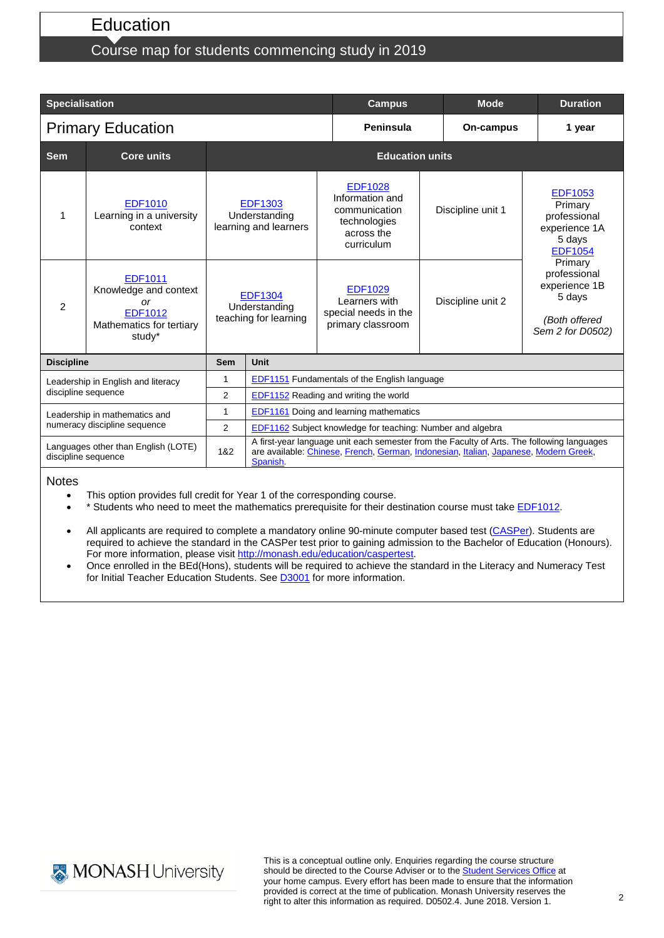## **Education**

# Course map for students commencing study in 2019

| <b>Specialisation</b>                                         |                                                                                                |                                                                                                                      |                                                                                                                                                                                                | <b>Campus</b>                                                                                  |                   |                   | <b>Duration</b>                                                                         |  |  |
|---------------------------------------------------------------|------------------------------------------------------------------------------------------------|----------------------------------------------------------------------------------------------------------------------|------------------------------------------------------------------------------------------------------------------------------------------------------------------------------------------------|------------------------------------------------------------------------------------------------|-------------------|-------------------|-----------------------------------------------------------------------------------------|--|--|
| <b>Primary Education</b>                                      |                                                                                                |                                                                                                                      |                                                                                                                                                                                                | Peninsula                                                                                      |                   |                   | 1 year                                                                                  |  |  |
| <b>Sem</b>                                                    | <b>Core units</b>                                                                              | <b>Education units</b>                                                                                               |                                                                                                                                                                                                |                                                                                                |                   |                   |                                                                                         |  |  |
| 1                                                             | EDF1010<br>Learning in a university<br>context                                                 | <b>EDF1303</b><br>Understanding<br>learning and learners<br><b>EDF1304</b><br>Understanding<br>teaching for learning |                                                                                                                                                                                                | <b>EDF1028</b><br>Information and<br>communication<br>technologies<br>across the<br>curriculum | Discipline unit 1 |                   | <b>EDF1053</b><br>Primary<br>professional<br>experience 1A<br>5 days<br><b>EDF1054</b>  |  |  |
| 2                                                             | EDF1011<br>Knowledge and context<br><b>or</b><br>EDF1012<br>Mathematics for tertiary<br>study* |                                                                                                                      |                                                                                                                                                                                                | <b>EDF1029</b><br>Learners with<br>special needs in the<br>primary classroom                   |                   | Discipline unit 2 | Primary<br>professional<br>experience 1B<br>5 days<br>(Both offered<br>Sem 2 for D0502) |  |  |
| <b>Discipline</b>                                             |                                                                                                | <b>Sem</b>                                                                                                           | Unit                                                                                                                                                                                           |                                                                                                |                   |                   |                                                                                         |  |  |
| Leadership in English and literacy<br>discipline sequence     |                                                                                                | 1                                                                                                                    | EDF1151 Fundamentals of the English language                                                                                                                                                   |                                                                                                |                   |                   |                                                                                         |  |  |
|                                                               |                                                                                                | 2                                                                                                                    | EDF1152 Reading and writing the world                                                                                                                                                          |                                                                                                |                   |                   |                                                                                         |  |  |
| Leadership in mathematics and<br>numeracy discipline sequence |                                                                                                | $\mathbf{1}$                                                                                                         | EDF1161 Doing and learning mathematics                                                                                                                                                         |                                                                                                |                   |                   |                                                                                         |  |  |
|                                                               |                                                                                                | $\overline{2}$                                                                                                       | EDF1162 Subject knowledge for teaching: Number and algebra                                                                                                                                     |                                                                                                |                   |                   |                                                                                         |  |  |
| Languages other than English (LOTE)<br>discipline sequence    |                                                                                                | 1&2                                                                                                                  | A first-year language unit each semester from the Faculty of Arts. The following languages<br>are available: Chinese, French, German, Indonesian, Italian, Japanese, Modern Greek,<br>Spanish. |                                                                                                |                   |                   |                                                                                         |  |  |

#### **Notes**

- This option provides full credit for Year 1 of the corresponding course.
- \* Students who need to meet the mathematics prerequisite for their destination course must take [EDF1012.](http://www.monash.edu.au/pubs/handbooks/units/EDF1012.html)
- All applicants are required to complete a mandatory online 90-minute computer based test [\(CASPer\)](https://takecasper.com/). Students are required to achieve the standard in the CASPer test prior to gaining admission to the Bachelor of Education (Honours). For more information, please visit [http://monash.edu/education/caspertest.](http://monash.edu/education/caspertest)
- Once enrolled in the BEd(Hons), students will be required to achieve the standard in the Literacy and Numeracy Test for Initial Teacher Education Students. See **D3001** for more information.



This is a conceptual outline only. Enquiries regarding the course structure should be directed to the Course Adviser or to the **Student Services Office** at your home campus. Every effort has been made to ensure that the information provided is correct at the time of publication. Monash University reserves the right to alter this information as required. D0502.4. June 2018. Version 1.